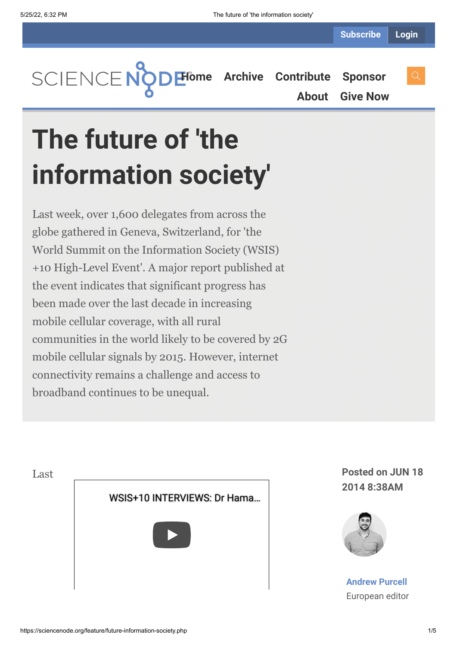**[Home](https://sciencenode.org/) [Archive](https://sciencenode.org/archive/index.php) [Contribute](https://sciencenode.org/contribute/index.php) [Sponsor](https://sciencenode.org/sponsor/index.php)**

**[About](https://sciencenode.org/about/index.php) [Give Now](https://sciencenode.org/donate/index.php)**

# **The future of 'the information society'**

Last week, over 1,600 delegates from across the globe gathered in Geneva, Switzerland, for 'the World Summit on the Information Society (WSIS) +10 High-Level Event'. A major report published at the event indicates that significant progress has been made over the last decade in increasing mobile cellular coverage, with all rural communities in the world likely to be covered by 2G mobile cellular signals by 2015. However, internet connectivity remains a challenge and access to broadband continues to be unequal.



**2014 8:38AM**



**[Andrew Purcell](https://sciencenode.org/author/andrew-purcell.php)** European editor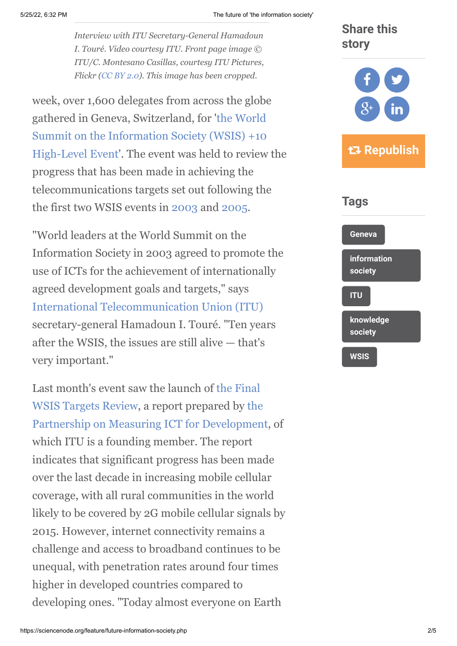#### 5/25/22, 6:32 PM The future of 'the information society'

*Interview with ITU Secretary-General Hamadoun I. Touré. Video courtesy ITU. Front page image © ITU/C. Montesano Casillas, courtesy ITU Pictures, Flickr [\(CC BY 2.0](https://creativecommons.org/licenses/by/2.0/)). This image has been cropped.*

week, over 1,600 delegates from across the globe gathered in Geneva, Switzerland, for 'the World [Summit on the Information Society \(WSIS\) +10](http://www.itu.int/wsis/implementation/2014/forum/) High-Level Event'. The event was held to review the progress that has been made in achieving the telecommunications targets set out following the the first two WSIS events in [2003](http://www.itu.int/wsis/geneva/index.html) and [2005.](http://www.itu.int/wsis/tunis/index.html)

"World leaders at the World Summit on the Information Society in 2003 agreed to promote the use of ICTs for the achievement of internationally agreed development goals and targets," says [International Telecommunication Union \(ITU\)](http://www.itu.int/en/Pages/default.aspx) secretary-general Hamadoun I. Touré. "Ten years after the WSIS, the issues are still alive — that's very important."

[Last month's event saw the launch of the Final](http://www.itu.int/en/ITU-D/Statistics/Pages/publications/wsistargets2014.aspx) WSIS Targets Review, a report prepared by the [Partnership on Measuring ICT for Development,](http://www.itu.int/en/ITU-D/Statistics/Pages/intlcoop/partnership/default.aspx) of which ITU is a founding member. The report indicates that significant progress has been made over the last decade in increasing mobile cellular coverage, with all rural communities in the world likely to be covered by 2G mobile cellular signals by 2015. However, internet connectivity remains a challenge and access to broadband continues to be unequal, with penetration rates around four times higher in developed countries compared to developing ones. "Today almost everyone on Earth

## **Share this story**



### **Republish**

#### **Tags**

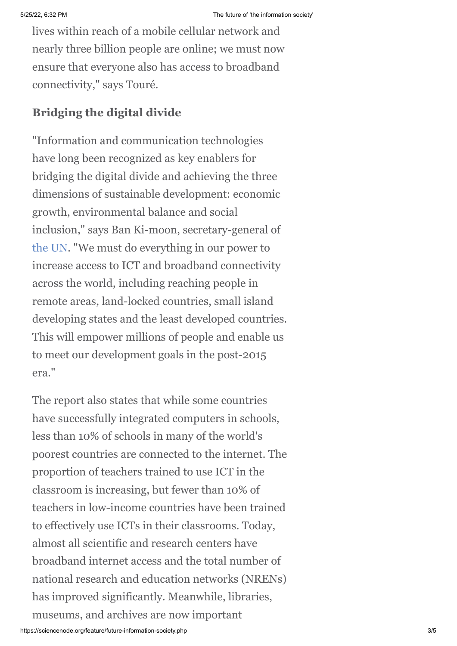lives within reach of a mobile cellular network and nearly three billion people are online; we must now ensure that everyone also has access to broadband connectivity," says Touré.

#### **Bridging the digital divide**

"Information and communication technologies have long been recognized as key enablers for bridging the digital divide and achieving the three dimensions of sustainable development: economic growth, environmental balance and social inclusion," says Ban Ki-moon, secretary-general of [the UN.](http://www.un.org/) "We must do everything in our power to increase access to ICT and broadband connectivity across the world, including reaching people in remote areas, land-locked countries, small island developing states and the least developed countries. This will empower millions of people and enable us to meet our development goals in the post-2015 era."

The report also states that while some countries have successfully integrated computers in schools, less than 10% of schools in many of the world's poorest countries are connected to the internet. The proportion of teachers trained to use ICT in the classroom is increasing, but fewer than 10% of teachers in low-income countries have been trained to effectively use ICTs in their classrooms. Today, almost all scientific and research centers have broadband internet access and the total number of national research and education networks (NRENs) has improved significantly. Meanwhile, libraries, museums, and archives are now important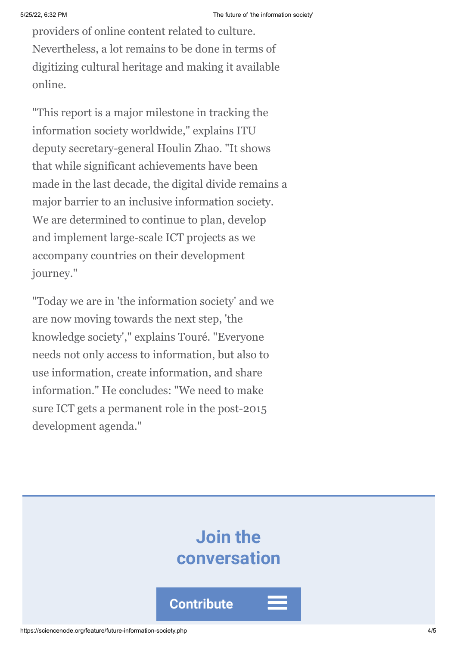providers of online content related to culture. Nevertheless, a lot remains to be done in terms of digitizing cultural heritage and making it available online.

"This report is a major milestone in tracking the information society worldwide," explains ITU deputy secretary-general Houlin Zhao. "It shows that while significant achievements have been made in the last decade, the digital divide remains a major barrier to an inclusive information society. We are determined to continue to plan, develop and implement large-scale ICT projects as we accompany countries on their development journey."

"Today we are in 'the information society' and we are now moving towards the next step, 'the knowledge society'," explains Touré. "Everyone needs not only access to information, but also to use information, create information, and share information." He concludes: "We need to make sure ICT gets a permanent role in the post-2015 development agenda."